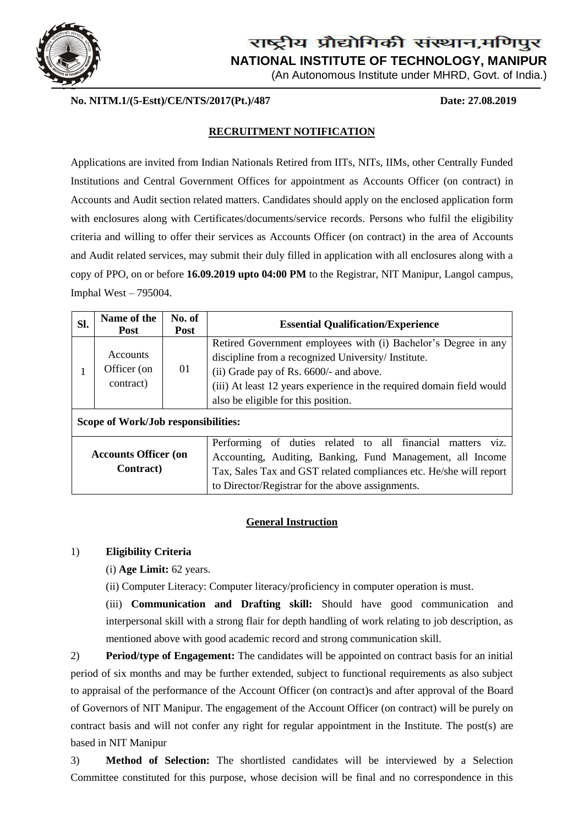

(An Autonomous Institute under MHRD, Govt. of India.)

**No. NITM.1/(5-Estt)/CE/NTS/2017(Pt.)/487 Date: 27.08.2019**

### **RECRUITMENT NOTIFICATION**

Applications are invited from Indian Nationals Retired from IITs, NITs, IIMs, other Centrally Funded Institutions and Central Government Offices for appointment as Accounts Officer (on contract) in Accounts and Audit section related matters. Candidates should apply on the enclosed application form with enclosures along with Certificates/documents/service records. Persons who fulfil the eligibility criteria and willing to offer their services as Accounts Officer (on contract) in the area of Accounts and Audit related services, may submit their duly filled in application with all enclosures along with a copy of PPO, on or before **16.09.2019 upto 04:00 PM** to the Registrar, NIT Manipur, Langol campus, Imphal West – 795004.

| SI.                                              | Name of the<br><b>Post</b>                  | No. of<br><b>Post</b> | <b>Essential Qualification/Experience</b>                                                                                                                                                                                                                                        |  |  |  |  |  |  |
|--------------------------------------------------|---------------------------------------------|-----------------------|----------------------------------------------------------------------------------------------------------------------------------------------------------------------------------------------------------------------------------------------------------------------------------|--|--|--|--|--|--|
|                                                  | <b>Accounts</b><br>Officer (on<br>contract) | 01                    | Retired Government employees with (i) Bachelor's Degree in any<br>discipline from a recognized University/ Institute.<br>(ii) Grade pay of Rs. 6600/- and above.<br>(iii) At least 12 years experience in the required domain field would<br>also be eligible for this position. |  |  |  |  |  |  |
| Scope of Work/Job responsibilities:              |                                             |                       |                                                                                                                                                                                                                                                                                  |  |  |  |  |  |  |
| <b>Accounts Officer (on</b><br><b>Contract</b> ) |                                             |                       | viz.<br>Performing of duties related to all financial<br>matters<br>Accounting, Auditing, Banking, Fund Management, all Income<br>Tax, Sales Tax and GST related compliances etc. He/she will report<br>to Director/Registrar for the above assignments.                         |  |  |  |  |  |  |

### **General Instruction**

### 1) **Eligibility Criteria**

(i) **Age Limit:** 62 years.

(ii) Computer Literacy: Computer literacy/proficiency in computer operation is must.

(iii) **Communication and Drafting skill:** Should have good communication and interpersonal skill with a strong flair for depth handling of work relating to job description, as mentioned above with good academic record and strong communication skill.

2) **Period/type of Engagement:** The candidates will be appointed on contract basis for an initial period of six months and may be further extended, subject to functional requirements as also subject to appraisal of the performance of the Account Officer (on contract)s and after approval of the Board of Governors of NIT Manipur. The engagement of the Account Officer (on contract) will be purely on contract basis and will not confer any right for regular appointment in the Institute. The post(s) are based in NIT Manipur

3) **Method of Selection:** The shortlisted candidates will be interviewed by a Selection Committee constituted for this purpose, whose decision will be final and no correspondence in this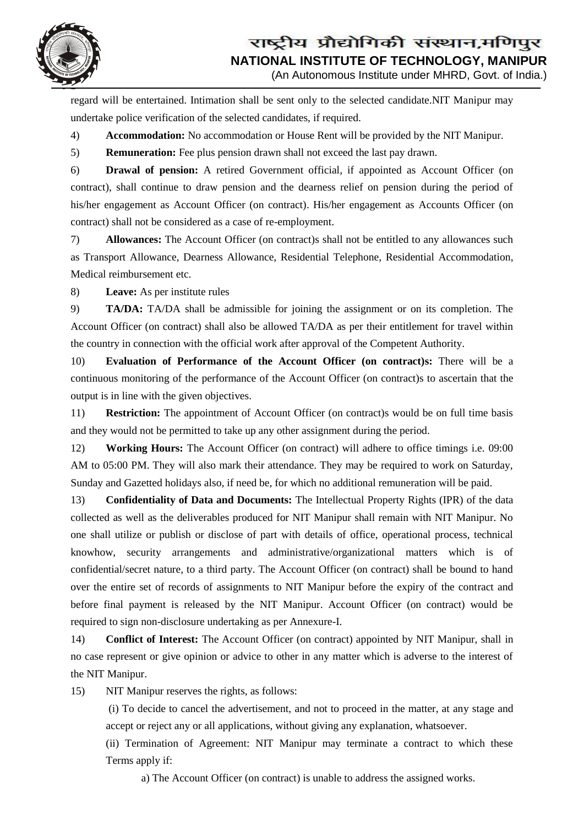

(An Autonomous Institute under MHRD, Govt. of India.)

regard will be entertained. Intimation shall be sent only to the selected candidate.NIT Manipur may undertake police verification of the selected candidates, if required.

4) **Accommodation:** No accommodation or House Rent will be provided by the NIT Manipur.

5) **Remuneration:** Fee plus pension drawn shall not exceed the last pay drawn.

6) **Drawal of pension:** A retired Government official, if appointed as Account Officer (on contract), shall continue to draw pension and the dearness relief on pension during the period of his/her engagement as Account Officer (on contract). His/her engagement as Accounts Officer (on contract) shall not be considered as a case of re-employment.

7) **Allowances:** The Account Officer (on contract)s shall not be entitled to any allowances such as Transport Allowance, Dearness Allowance, Residential Telephone, Residential Accommodation, Medical reimbursement etc.

8) **Leave:** As per institute rules

9) **TA/DA:** TA/DA shall be admissible for joining the assignment or on its completion. The Account Officer (on contract) shall also be allowed TA/DA as per their entitlement for travel within the country in connection with the official work after approval of the Competent Authority.

10) **Evaluation of Performance of the Account Officer (on contract)s:** There will be a continuous monitoring of the performance of the Account Officer (on contract)s to ascertain that the output is in line with the given objectives.

11) **Restriction:** The appointment of Account Officer (on contract)s would be on full time basis and they would not be permitted to take up any other assignment during the period.

12) **Working Hours:** The Account Officer (on contract) will adhere to office timings i.e. 09:00 AM to 05:00 PM. They will also mark their attendance. They may be required to work on Saturday, Sunday and Gazetted holidays also, if need be, for which no additional remuneration will be paid.

13) **Confidentiality of Data and Documents:** The Intellectual Property Rights (IPR) of the data collected as well as the deliverables produced for NIT Manipur shall remain with NIT Manipur. No one shall utilize or publish or disclose of part with details of office, operational process, technical knowhow, security arrangements and administrative/organizational matters which is of confidential/secret nature, to a third party. The Account Officer (on contract) shall be bound to hand over the entire set of records of assignments to NIT Manipur before the expiry of the contract and before final payment is released by the NIT Manipur. Account Officer (on contract) would be required to sign non-disclosure undertaking as per Annexure-I.

14) **Conflict of Interest:** The Account Officer (on contract) appointed by NIT Manipur, shall in no case represent or give opinion or advice to other in any matter which is adverse to the interest of the NIT Manipur.

15) NIT Manipur reserves the rights, as follows:

(i) To decide to cancel the advertisement, and not to proceed in the matter, at any stage and accept or reject any or all applications, without giving any explanation, whatsoever.

(ii) Termination of Agreement: NIT Manipur may terminate a contract to which these Terms apply if:

a) The Account Officer (on contract) is unable to address the assigned works.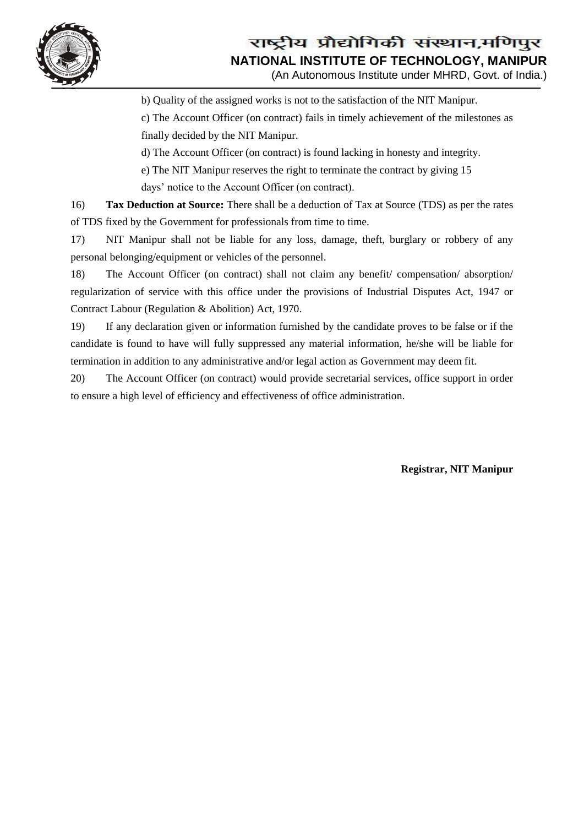

(An Autonomous Institute under MHRD, Govt. of India.)

b) Quality of the assigned works is not to the satisfaction of the NIT Manipur.

c) The Account Officer (on contract) fails in timely achievement of the milestones as finally decided by the NIT Manipur.

d) The Account Officer (on contract) is found lacking in honesty and integrity.

e) The NIT Manipur reserves the right to terminate the contract by giving 15

days' notice to the Account Officer (on contract).

16) **Tax Deduction at Source:** There shall be a deduction of Tax at Source (TDS) as per the rates of TDS fixed by the Government for professionals from time to time.

17) NIT Manipur shall not be liable for any loss, damage, theft, burglary or robbery of any personal belonging/equipment or vehicles of the personnel.

18) The Account Officer (on contract) shall not claim any benefit/ compensation/ absorption/ regularization of service with this office under the provisions of Industrial Disputes Act, 1947 or Contract Labour (Regulation & Abolition) Act, 1970.

19) If any declaration given or information furnished by the candidate proves to be false or if the candidate is found to have will fully suppressed any material information, he/she will be liable for termination in addition to any administrative and/or legal action as Government may deem fit.

20) The Account Officer (on contract) would provide secretarial services, office support in order to ensure a high level of efficiency and effectiveness of office administration.

**Registrar, NIT Manipur**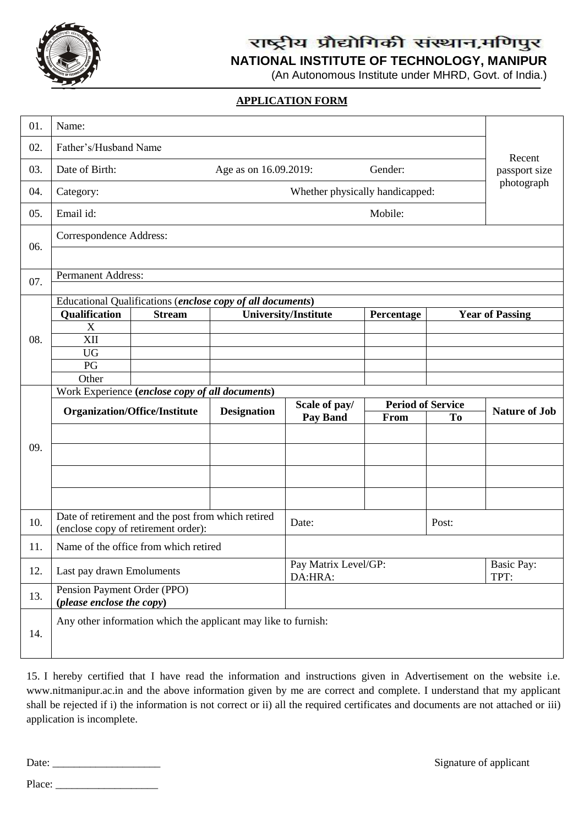

# राष्ट्रीय प्रौद्योगिकी संस्थान,मणिपुर

**NATIONAL INSTITUTE OF TECHNOLOGY, MANIPUR**

(An Autonomous Institute under MHRD, Govt. of India.)

### **APPLICATION FORM**

| 01. | Name:                                                      |                                                                                           |                    |                                           |                          |           |                           |  |  |  |
|-----|------------------------------------------------------------|-------------------------------------------------------------------------------------------|--------------------|-------------------------------------------|--------------------------|-----------|---------------------------|--|--|--|
| 02. | Father's/Husband Name                                      |                                                                                           | Recent             |                                           |                          |           |                           |  |  |  |
| 03. | Date of Birth:                                             | Gender:<br>Age as on 16.09.2019:                                                          |                    |                                           |                          |           |                           |  |  |  |
| 04. | Category:                                                  |                                                                                           | photograph         |                                           |                          |           |                           |  |  |  |
| 05. | Email id:                                                  | Mobile:                                                                                   |                    |                                           |                          |           |                           |  |  |  |
| 06. | Correspondence Address:                                    |                                                                                           |                    |                                           |                          |           |                           |  |  |  |
|     | Permanent Address:                                         |                                                                                           |                    |                                           |                          |           |                           |  |  |  |
| 07. |                                                            |                                                                                           |                    |                                           |                          |           |                           |  |  |  |
|     | Educational Qualifications (enclose copy of all documents) |                                                                                           |                    |                                           |                          |           |                           |  |  |  |
| 08. | Qualification                                              | <b>Stream</b>                                                                             |                    | <b>University/Institute</b><br>Percentage |                          |           | <b>Year of Passing</b>    |  |  |  |
|     | X                                                          |                                                                                           |                    |                                           |                          |           |                           |  |  |  |
|     | XII                                                        |                                                                                           |                    |                                           |                          |           |                           |  |  |  |
|     | <b>UG</b>                                                  |                                                                                           |                    |                                           |                          |           |                           |  |  |  |
|     | PG                                                         |                                                                                           |                    |                                           |                          |           |                           |  |  |  |
|     | Other                                                      |                                                                                           |                    |                                           |                          |           |                           |  |  |  |
|     | Work Experience (enclose copy of all documents)            |                                                                                           |                    |                                           |                          |           |                           |  |  |  |
|     |                                                            |                                                                                           |                    |                                           |                          |           |                           |  |  |  |
|     |                                                            | <b>Organization/Office/Institute</b>                                                      | <b>Designation</b> | Scale of pay/                             | <b>Period of Service</b> |           | <b>Nature of Job</b>      |  |  |  |
|     |                                                            |                                                                                           |                    | <b>Pay Band</b>                           | From                     | <b>To</b> |                           |  |  |  |
|     |                                                            |                                                                                           |                    |                                           |                          |           |                           |  |  |  |
| 09. |                                                            |                                                                                           |                    |                                           |                          |           |                           |  |  |  |
|     |                                                            |                                                                                           |                    |                                           |                          |           |                           |  |  |  |
|     |                                                            |                                                                                           |                    |                                           |                          |           |                           |  |  |  |
| 10. |                                                            | Date of retirement and the post from which retired<br>(enclose copy of retirement order): |                    | Date:                                     |                          | Post:     |                           |  |  |  |
| 11. |                                                            | Name of the office from which retired                                                     |                    |                                           |                          |           |                           |  |  |  |
| 12. | Last pay drawn Emoluments                                  |                                                                                           |                    | Pay Matrix Level/GP:<br>DA:HRA:           |                          |           | <b>Basic Pay:</b><br>TPT: |  |  |  |
| 13. | Pension Payment Order (PPO)<br>(please enclose the copy)   |                                                                                           |                    |                                           |                          |           |                           |  |  |  |

15. I hereby certified that I have read the information and instructions given in Advertisement on the website i.e. [www.nitmanipur.ac.in](http://www.nitmanipur.ac.in/) and the above information given by me are correct and complete. I understand that my applicant shall be rejected if i) the information is not correct or ii) all the required certificates and documents are not attached or iii) application is incomplete.

Date: \_\_\_\_\_\_\_\_\_\_\_\_\_\_\_\_\_\_\_\_ Signature of applicant

Place: \_\_\_\_\_\_\_\_\_\_\_\_\_\_\_\_\_\_\_